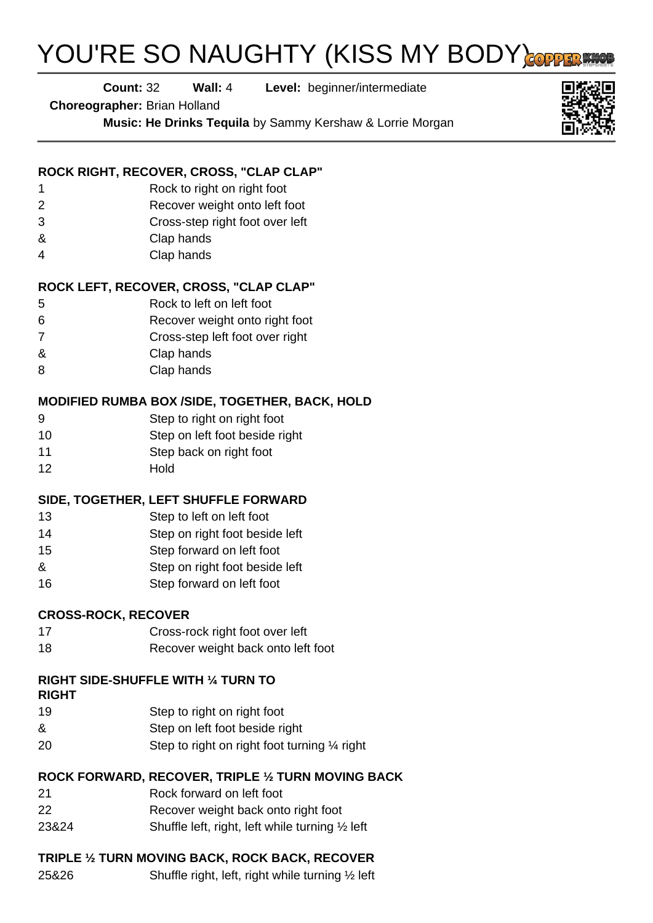# YOU'RE SO NAUGHTY (KISS MY BODY)

**Count:** 32 **Wall:** 4 **Level:** beginner/intermediate

**Choreographer:** Brian Holland

**Music: He Drinks Tequila** by Sammy Kershaw & Lorrie Morgan



#### **ROCK RIGHT, RECOVER, CROSS, "CLAP CLAP"**

- 1 Rock to right on right foot
- 2 Recover weight onto left foot
- 3 Cross-step right foot over left
- & Clap hands
- 4 Clap hands

#### **ROCK LEFT, RECOVER, CROSS, "CLAP CLAP"**

- 5 Rock to left on left foot
- 6 Recover weight onto right foot
- 7 Cross-step left foot over right
- & Clap hands
- 8 Clap hands

#### **MODIFIED RUMBA BOX /SIDE, TOGETHER, BACK, HOLD**

- 9 Step to right on right foot
- 10 Step on left foot beside right
- 11 Step back on right foot
- 12 Hold

#### **SIDE, TOGETHER, LEFT SHUFFLE FORWARD**

- 13 Step to left on left foot
- 14 Step on right foot beside left
- 15 Step forward on left foot
- & Step on right foot beside left
- 16 Step forward on left foot

#### **CROSS-ROCK, RECOVER**

- 17 Cross-rock right foot over left
- 18 Recover weight back onto left foot

## **RIGHT SIDE-SHUFFLE WITH ¼ TURN TO**

#### **RIGHT**

- 19 Step to right on right foot
- & Step on left foot beside right
- 20 Step to right on right foot turning 1/4 right

#### **ROCK FORWARD, RECOVER, TRIPLE ½ TURN MOVING BACK**

- 21 Rock forward on left foot
- 22 Recover weight back onto right foot
- 23&24 Shuffle left, right, left while turning ½ left

## **TRIPLE ½ TURN MOVING BACK, ROCK BACK, RECOVER**

25&26 Shuffle right, left, right while turning ½ left